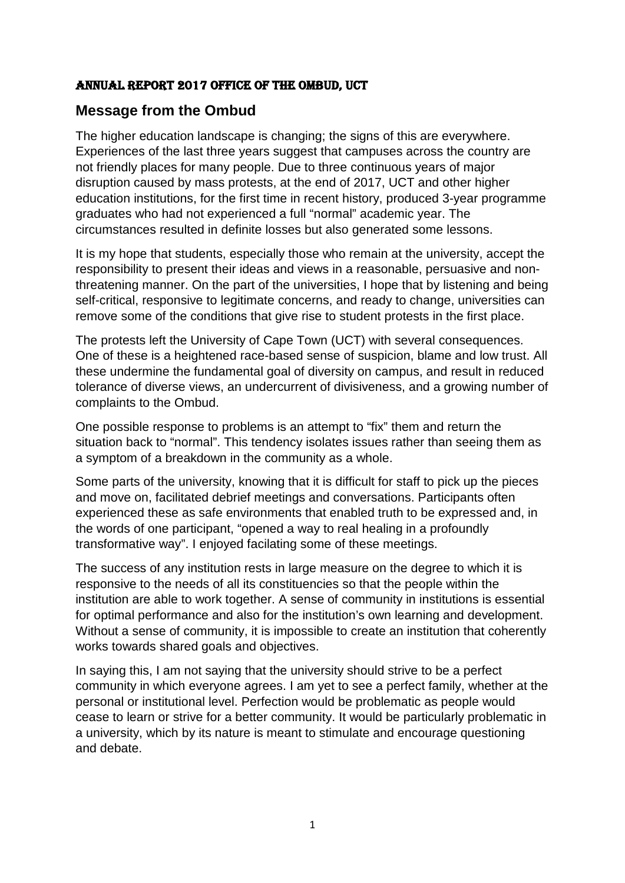#### Annual report 2017 Office of the Ombud, uct

## **Message from the Ombud**

The higher education landscape is changing; the signs of this are everywhere. Experiences of the last three years suggest that campuses across the country are not friendly places for many people. Due to three continuous years of major disruption caused by mass protests, at the end of 2017, UCT and other higher education institutions, for the first time in recent history, produced 3-year programme graduates who had not experienced a full "normal" academic year. The circumstances resulted in definite losses but also generated some lessons.

It is my hope that students, especially those who remain at the university, accept the responsibility to present their ideas and views in a reasonable, persuasive and nonthreatening manner. On the part of the universities, I hope that by listening and being self-critical, responsive to legitimate concerns, and ready to change, universities can remove some of the conditions that give rise to student protests in the first place.

The protests left the University of Cape Town (UCT) with several consequences. One of these is a heightened race-based sense of suspicion, blame and low trust. All these undermine the fundamental goal of diversity on campus, and result in reduced tolerance of diverse views, an undercurrent of divisiveness, and a growing number of complaints to the Ombud.

One possible response to problems is an attempt to "fix" them and return the situation back to "normal". This tendency isolates issues rather than seeing them as a symptom of a breakdown in the community as a whole.

Some parts of the university, knowing that it is difficult for staff to pick up the pieces and move on, facilitated debrief meetings and conversations. Participants often experienced these as safe environments that enabled truth to be expressed and, in the words of one participant, "opened a way to real healing in a profoundly transformative way". I enjoyed facilating some of these meetings.

The success of any institution rests in large measure on the degree to which it is responsive to the needs of all its constituencies so that the people within the institution are able to work together. A sense of community in institutions is essential for optimal performance and also for the institution's own learning and development. Without a sense of community, it is impossible to create an institution that coherently works towards shared goals and objectives.

In saying this, I am not saying that the university should strive to be a perfect community in which everyone agrees. I am yet to see a perfect family, whether at the personal or institutional level. Perfection would be problematic as people would cease to learn or strive for a better community. It would be particularly problematic in a university, which by its nature is meant to stimulate and encourage questioning and debate.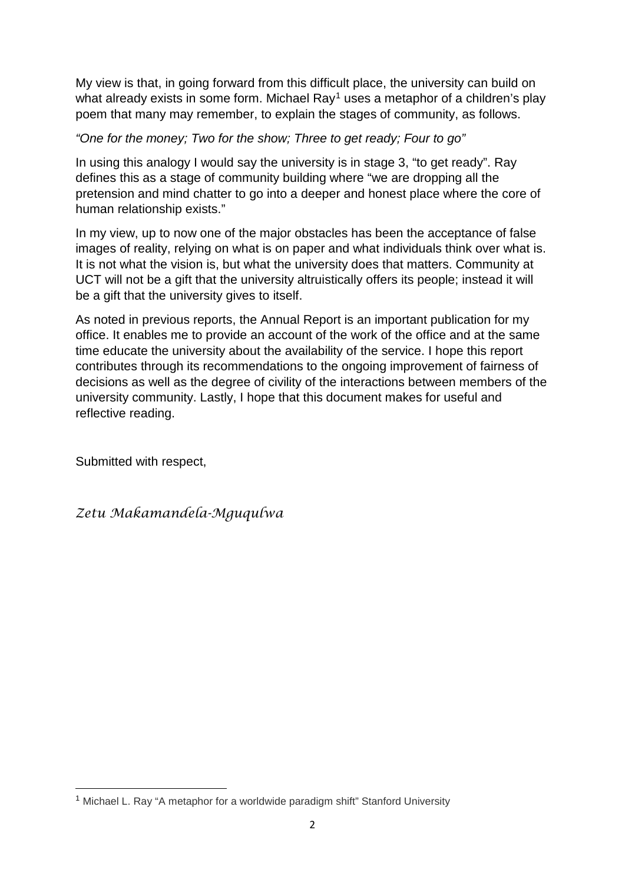My view is that, in going forward from this difficult place, the university can build on what already exists in some form. Michael  $Ray<sup>1</sup>$  $Ray<sup>1</sup>$  $Ray<sup>1</sup>$  uses a metaphor of a children's play poem that many may remember, to explain the stages of community, as follows.

*"One for the money; Two for the show; Three to get ready; Four to go"*

In using this analogy I would say the university is in stage 3, "to get ready". Ray defines this as a stage of community building where "we are dropping all the pretension and mind chatter to go into a deeper and honest place where the core of human relationship exists."

In my view, up to now one of the major obstacles has been the acceptance of false images of reality, relying on what is on paper and what individuals think over what is. It is not what the vision is, but what the university does that matters. Community at UCT will not be a gift that the university altruistically offers its people; instead it will be a gift that the university gives to itself.

As noted in previous reports, the Annual Report is an important publication for my office. It enables me to provide an account of the work of the office and at the same time educate the university about the availability of the service. I hope this report contributes through its recommendations to the ongoing improvement of fairness of decisions as well as the degree of civility of the interactions between members of the university community. Lastly, I hope that this document makes for useful and reflective reading.

Submitted with respect,

<u>.</u>

*Zetu Makamandela-Mguqulwa*

<span id="page-1-0"></span><sup>&</sup>lt;sup>1</sup> Michael L. Ray "A metaphor for a worldwide paradigm shift" Stanford University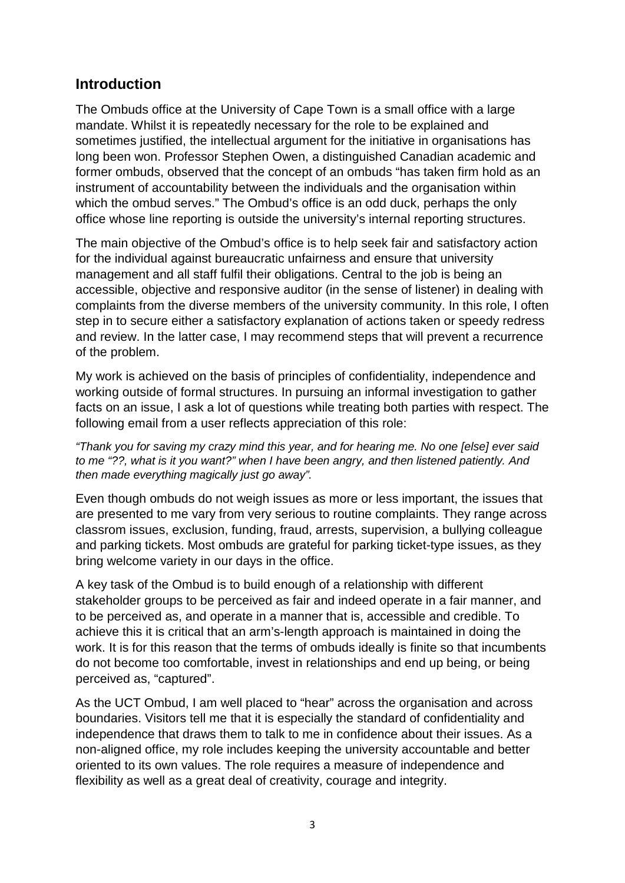### **Introduction**

The Ombuds office at the University of Cape Town is a small office with a large mandate. Whilst it is repeatedly necessary for the role to be explained and sometimes justified, the intellectual argument for the initiative in organisations has long been won. Professor Stephen Owen, a distinguished Canadian academic and former ombuds, observed that the concept of an ombuds "has taken firm hold as an instrument of accountability between the individuals and the organisation within which the ombud serves." The Ombud's office is an odd duck, perhaps the only office whose line reporting is outside the university's internal reporting structures.

The main objective of the Ombud's office is to help seek fair and satisfactory action for the individual against bureaucratic unfairness and ensure that university management and all staff fulfil their obligations. Central to the job is being an accessible, objective and responsive auditor (in the sense of listener) in dealing with complaints from the diverse members of the university community. In this role, I often step in to secure either a satisfactory explanation of actions taken or speedy redress and review. In the latter case, I may recommend steps that will prevent a recurrence of the problem.

My work is achieved on the basis of principles of confidentiality, independence and working outside of formal structures. In pursuing an informal investigation to gather facts on an issue, I ask a lot of questions while treating both parties with respect. The following email from a user reflects appreciation of this role:

*"Thank you for saving my crazy mind this year, and for hearing me. No one [else] ever said to me "??, what is it you want?" when I have been angry, and then listened patiently. And then made everything magically just go away".*

Even though ombuds do not weigh issues as more or less important, the issues that are presented to me vary from very serious to routine complaints. They range across classrom issues, exclusion, funding, fraud, arrests, supervision, a bullying colleague and parking tickets. Most ombuds are grateful for parking ticket-type issues, as they bring welcome variety in our days in the office.

A key task of the Ombud is to build enough of a relationship with different stakeholder groups to be perceived as fair and indeed operate in a fair manner, and to be perceived as, and operate in a manner that is, accessible and credible. To achieve this it is critical that an arm's-length approach is maintained in doing the work. It is for this reason that the terms of ombuds ideally is finite so that incumbents do not become too comfortable, invest in relationships and end up being, or being perceived as, "captured".

As the UCT Ombud, I am well placed to "hear" across the organisation and across boundaries. Visitors tell me that it is especially the standard of confidentiality and independence that draws them to talk to me in confidence about their issues. As a non-aligned office, my role includes keeping the university accountable and better oriented to its own values. The role requires a measure of independence and flexibility as well as a great deal of creativity, courage and integrity.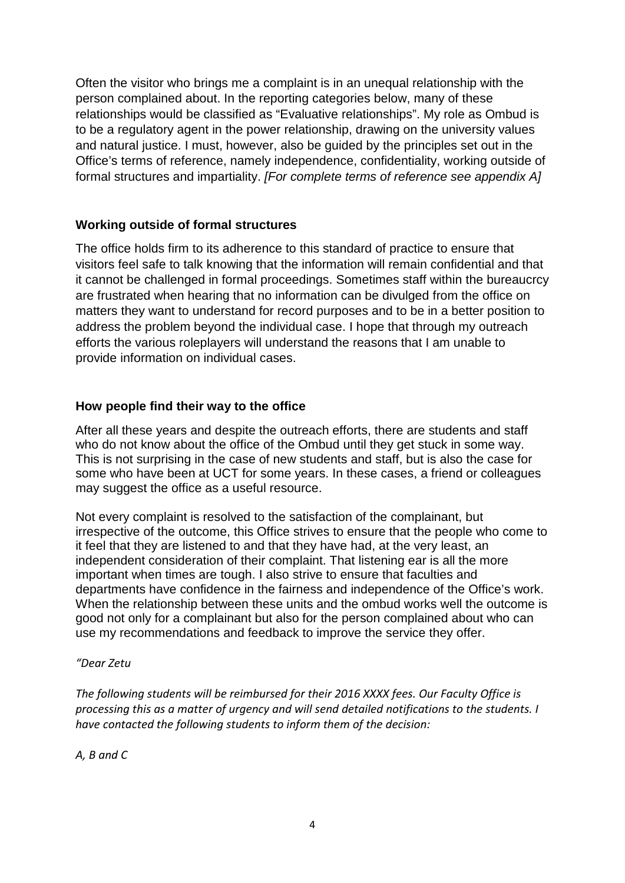Often the visitor who brings me a complaint is in an unequal relationship with the person complained about. In the reporting categories below, many of these relationships would be classified as "Evaluative relationships". My role as Ombud is to be a regulatory agent in the power relationship, drawing on the university values and natural justice. I must, however, also be quided by the principles set out in the Office's terms of reference, namely independence, confidentiality, working outside of formal structures and impartiality. *[For complete terms of reference see appendix A]*

#### **Working outside of formal structures**

The office holds firm to its adherence to this standard of practice to ensure that visitors feel safe to talk knowing that the information will remain confidential and that it cannot be challenged in formal proceedings. Sometimes staff within the bureaucrcy are frustrated when hearing that no information can be divulged from the office on matters they want to understand for record purposes and to be in a better position to address the problem beyond the individual case. I hope that through my outreach efforts the various roleplayers will understand the reasons that I am unable to provide information on individual cases.

#### **How people find their way to the office**

After all these years and despite the outreach efforts, there are students and staff who do not know about the office of the Ombud until they get stuck in some way. This is not surprising in the case of new students and staff, but is also the case for some who have been at UCT for some years. In these cases, a friend or colleagues may suggest the office as a useful resource.

Not every complaint is resolved to the satisfaction of the complainant, but irrespective of the outcome, this Office strives to ensure that the people who come to it feel that they are listened to and that they have had, at the very least, an independent consideration of their complaint. That listening ear is all the more important when times are tough. I also strive to ensure that faculties and departments have confidence in the fairness and independence of the Office's work. When the relationship between these units and the ombud works well the outcome is good not only for a complainant but also for the person complained about who can use my recommendations and feedback to improve the service they offer.

#### *"Dear Zetu*

*The following students will be reimbursed for their 2016 XXXX fees. Our Faculty Office is processing this as a matter of urgency and will send detailed notifications to the students. I have contacted the following students to inform them of the decision:*

*A, B and C*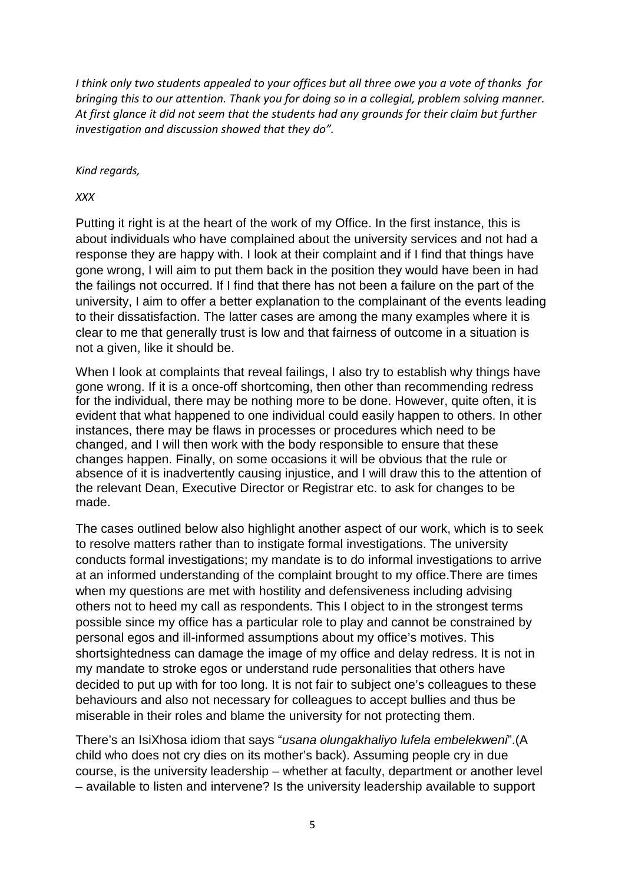*I think only two students appealed to your offices but all three owe you a vote of thanks for bringing this to our attention. Thank you for doing so in a collegial, problem solving manner. At first glance it did not seem that the students had any grounds for their claim but further investigation and discussion showed that they do".*

*Kind regards,*

*XXX*

Putting it right is at the heart of the work of my Office. In the first instance, this is about individuals who have complained about the university services and not had a response they are happy with. I look at their complaint and if I find that things have gone wrong, I will aim to put them back in the position they would have been in had the failings not occurred. If I find that there has not been a failure on the part of the university, I aim to offer a better explanation to the complainant of the events leading to their dissatisfaction. The latter cases are among the many examples where it is clear to me that generally trust is low and that fairness of outcome in a situation is not a given, like it should be.

When I look at complaints that reveal failings, I also try to establish why things have gone wrong. If it is a once-off shortcoming, then other than recommending redress for the individual, there may be nothing more to be done. However, quite often, it is evident that what happened to one individual could easily happen to others. In other instances, there may be flaws in processes or procedures which need to be changed, and I will then work with the body responsible to ensure that these changes happen. Finally, on some occasions it will be obvious that the rule or absence of it is inadvertently causing injustice, and I will draw this to the attention of the relevant Dean, Executive Director or Registrar etc. to ask for changes to be made.

The cases outlined below also highlight another aspect of our work, which is to seek to resolve matters rather than to instigate formal investigations. The university conducts formal investigations; my mandate is to do informal investigations to arrive at an informed understanding of the complaint brought to my office.There are times when my questions are met with hostility and defensiveness including advising others not to heed my call as respondents. This I object to in the strongest terms possible since my office has a particular role to play and cannot be constrained by personal egos and ill-informed assumptions about my office's motives. This shortsightedness can damage the image of my office and delay redress. It is not in my mandate to stroke egos or understand rude personalities that others have decided to put up with for too long. It is not fair to subject one's colleagues to these behaviours and also not necessary for colleagues to accept bullies and thus be miserable in their roles and blame the university for not protecting them.

There's an IsiXhosa idiom that says "*usana olungakhaliyo lufela embelekweni*".(A child who does not cry dies on its mother's back). Assuming people cry in due course, is the university leadership – whether at faculty, department or another level – available to listen and intervene? Is the university leadership available to support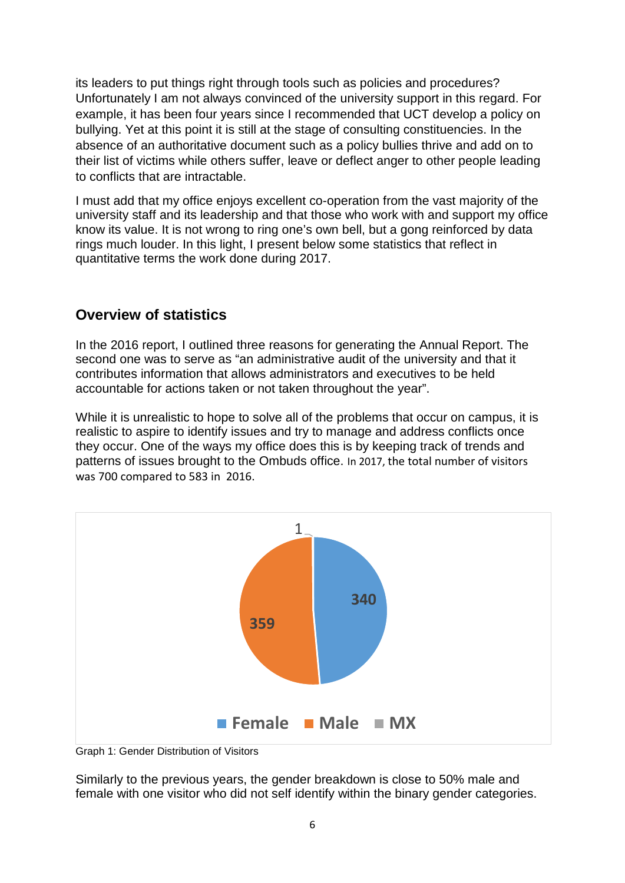its leaders to put things right through tools such as policies and procedures? Unfortunately I am not always convinced of the university support in this regard. For example, it has been four years since I recommended that UCT develop a policy on bullying. Yet at this point it is still at the stage of consulting constituencies. In the absence of an authoritative document such as a policy bullies thrive and add on to their list of victims while others suffer, leave or deflect anger to other people leading to conflicts that are intractable.

I must add that my office enjoys excellent co-operation from the vast majority of the university staff and its leadership and that those who work with and support my office know its value. It is not wrong to ring one's own bell, but a gong reinforced by data rings much louder. In this light, I present below some statistics that reflect in quantitative terms the work done during 2017.

#### **Overview of statistics**

In the 2016 report, I outlined three reasons for generating the Annual Report. The second one was to serve as "an administrative audit of the university and that it contributes information that allows administrators and executives to be held accountable for actions taken or not taken throughout the year".

While it is unrealistic to hope to solve all of the problems that occur on campus, it is realistic to aspire to identify issues and try to manage and address conflicts once they occur. One of the ways my office does this is by keeping track of trends and patterns of issues brought to the Ombuds office. In 2017, the total number of visitors was 700 compared to 583 in 2016.



Graph 1: Gender Distribution of Visitors

Similarly to the previous years, the gender breakdown is close to 50% male and female with one visitor who did not self identify within the binary gender categories.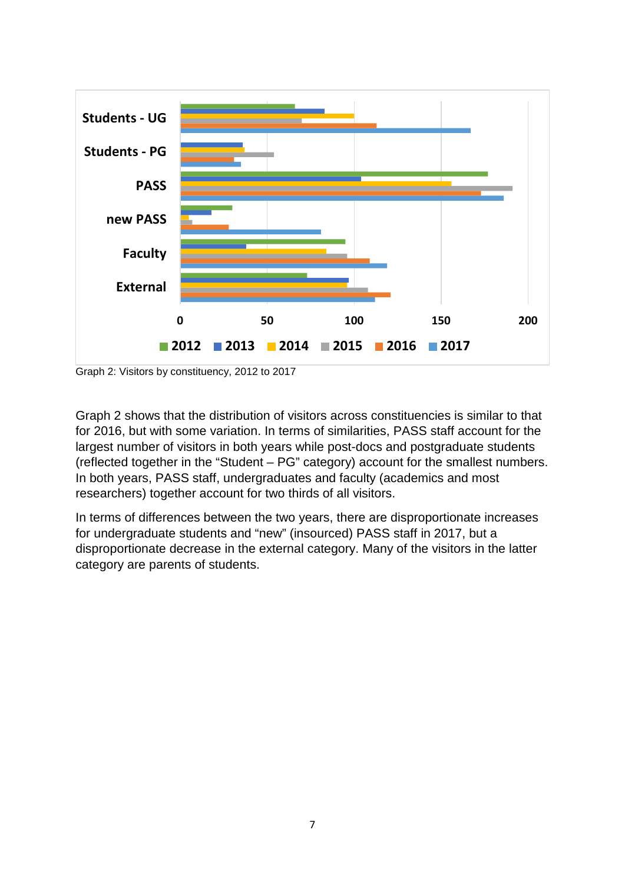

Graph 2: Visitors by constituency, 2012 to 2017

Graph 2 shows that the distribution of visitors across constituencies is similar to that for 2016, but with some variation. In terms of similarities, PASS staff account for the largest number of visitors in both years while post-docs and postgraduate students (reflected together in the "Student – PG" category) account for the smallest numbers. In both years, PASS staff, undergraduates and faculty (academics and most researchers) together account for two thirds of all visitors.

In terms of differences between the two years, there are disproportionate increases for undergraduate students and "new" (insourced) PASS staff in 2017, but a disproportionate decrease in the external category. Many of the visitors in the latter category are parents of students.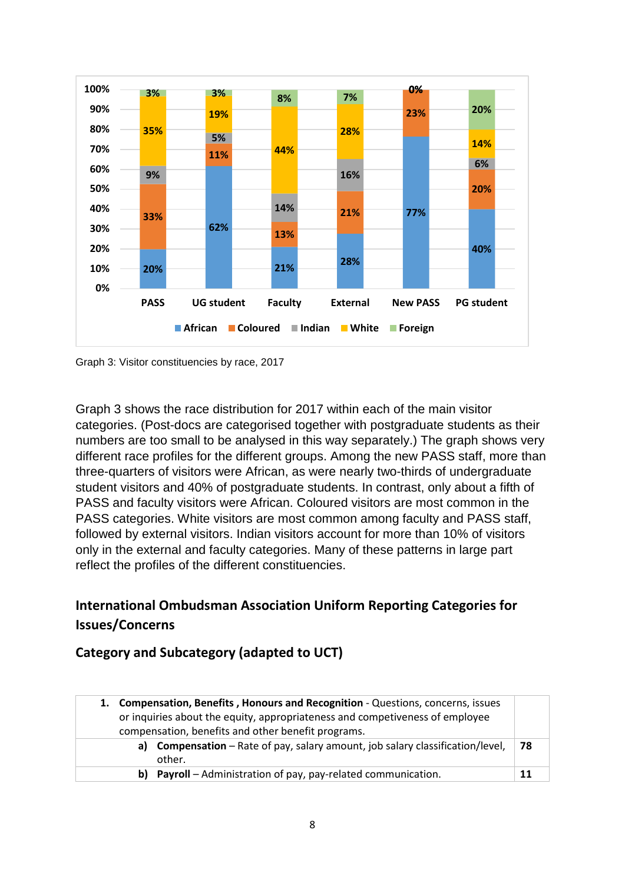

Graph 3: Visitor constituencies by race, 2017

Graph 3 shows the race distribution for 2017 within each of the main visitor categories. (Post-docs are categorised together with postgraduate students as their numbers are too small to be analysed in this way separately.) The graph shows very different race profiles for the different groups. Among the new PASS staff, more than three-quarters of visitors were African, as were nearly two-thirds of undergraduate student visitors and 40% of postgraduate students. In contrast, only about a fifth of PASS and faculty visitors were African. Coloured visitors are most common in the PASS categories. White visitors are most common among faculty and PASS staff, followed by external visitors. Indian visitors account for more than 10% of visitors only in the external and faculty categories. Many of these patterns in large part reflect the profiles of the different constituencies.

# **International Ombudsman Association Uniform Reporting Categories for Issues/Concerns**

#### **Category and Subcategory (adapted to UCT)**

| 1. Compensation, Benefits, Honours and Recognition - Questions, concerns, issues<br>or inquiries about the equity, appropriateness and competiveness of employee<br>compensation, benefits and other benefit programs. |                                                                                       |    |
|------------------------------------------------------------------------------------------------------------------------------------------------------------------------------------------------------------------------|---------------------------------------------------------------------------------------|----|
| a)                                                                                                                                                                                                                     | Compensation - Rate of pay, salary amount, job salary classification/level,<br>other. | 78 |
| b)                                                                                                                                                                                                                     | Payroll - Administration of pay, pay-related communication.                           |    |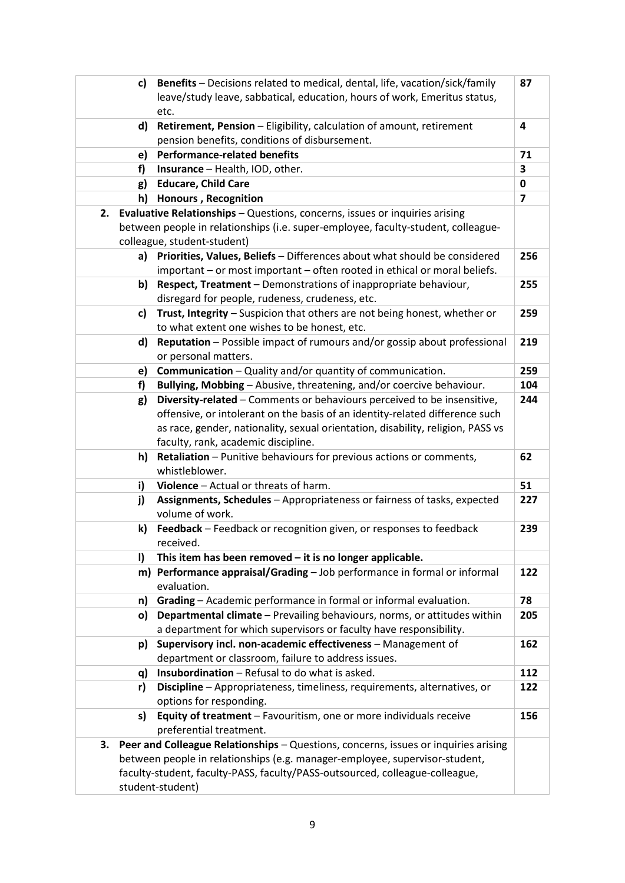| C)               | Benefits - Decisions related to medical, dental, life, vacation/sick/family         | 87             |
|------------------|-------------------------------------------------------------------------------------|----------------|
|                  | leave/study leave, sabbatical, education, hours of work, Emeritus status,           |                |
| etc.             |                                                                                     |                |
| d)               | Retirement, Pension - Eligibility, calculation of amount, retirement                | 4              |
|                  | pension benefits, conditions of disbursement.                                       |                |
| e)               | <b>Performance-related benefits</b>                                                 | 71             |
| f)               | Insurance - Health, IOD, other.                                                     | 3              |
| g)               | <b>Educare, Child Care</b>                                                          | 0              |
| h)               | <b>Honours, Recognition</b>                                                         | $\overline{7}$ |
| 2.               | Evaluative Relationships - Questions, concerns, issues or inquiries arising         |                |
|                  | between people in relationships (i.e. super-employee, faculty-student, colleague-   |                |
|                  | colleague, student-student)                                                         |                |
| a)               | Priorities, Values, Beliefs - Differences about what should be considered           | 256            |
|                  | important - or most important - often rooted in ethical or moral beliefs.           |                |
| b)               | Respect, Treatment - Demonstrations of inappropriate behaviour,                     | 255            |
|                  | disregard for people, rudeness, crudeness, etc.                                     |                |
| c)               | Trust, Integrity - Suspicion that others are not being honest, whether or           | 259            |
|                  | to what extent one wishes to be honest, etc.                                        |                |
| d)               | Reputation - Possible impact of rumours and/or gossip about professional            | 219            |
|                  | or personal matters.                                                                |                |
| e)               | <b>Communication</b> - Quality and/or quantity of communication.                    | 259            |
| f)               | Bullying, Mobbing - Abusive, threatening, and/or coercive behaviour.                | 104            |
| g)               | Diversity-related - Comments or behaviours perceived to be insensitive,             | 244            |
|                  | offensive, or intolerant on the basis of an identity-related difference such        |                |
|                  | as race, gender, nationality, sexual orientation, disability, religion, PASS vs     |                |
|                  | faculty, rank, academic discipline.                                                 |                |
| h)               | Retaliation - Punitive behaviours for previous actions or comments,                 | 62             |
|                  | whistleblower.                                                                      |                |
| i)               | Violence - Actual or threats of harm.                                               | 51             |
| j)               | Assignments, Schedules - Appropriateness or fairness of tasks, expected             | 227            |
|                  | volume of work.                                                                     |                |
| k)               | Feedback - Feedback or recognition given, or responses to feedback                  | 239            |
|                  | received.                                                                           |                |
| $\mathbf{I}$     | This item has been removed $-$ it is no longer applicable.                          |                |
|                  | m) Performance appraisal/Grading - Job performance in formal or informal            | 122            |
|                  | evaluation.                                                                         |                |
| n)               | Grading - Academic performance in formal or informal evaluation.                    | 78             |
| o)               | Departmental climate - Prevailing behaviours, norms, or attitudes within            | 205            |
|                  | a department for which supervisors or faculty have responsibility.                  |                |
| p)               | Supervisory incl. non-academic effectiveness - Management of                        | 162            |
|                  | department or classroom, failure to address issues.                                 |                |
| q)               | <b>Insubordination</b> – Refusal to do what is asked.                               | 112            |
| r)               | Discipline - Appropriateness, timeliness, requirements, alternatives, or            | 122            |
|                  | options for responding.                                                             |                |
| s)               | Equity of treatment - Favouritism, one or more individuals receive                  | 156            |
|                  | preferential treatment.                                                             |                |
| 3.               | Peer and Colleague Relationships - Questions, concerns, issues or inquiries arising |                |
|                  | between people in relationships (e.g. manager-employee, supervisor-student,         |                |
|                  | faculty-student, faculty-PASS, faculty/PASS-outsourced, colleague-colleague,        |                |
| student-student) |                                                                                     |                |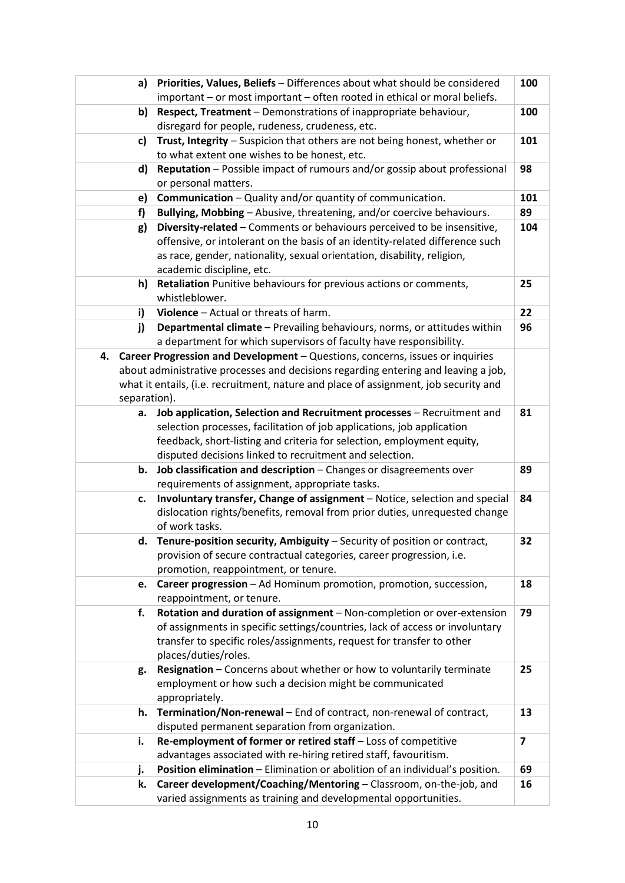|                                                                       | Priorities, Values, Beliefs - Differences about what should be considered<br>100<br>a) |                                                                                                |                         |  |
|-----------------------------------------------------------------------|----------------------------------------------------------------------------------------|------------------------------------------------------------------------------------------------|-------------------------|--|
|                                                                       | important - or most important - often rooted in ethical or moral beliefs.              |                                                                                                |                         |  |
| Respect, Treatment - Demonstrations of inappropriate behaviour,<br>b) |                                                                                        |                                                                                                | 100                     |  |
|                                                                       |                                                                                        | disregard for people, rudeness, crudeness, etc.                                                |                         |  |
|                                                                       | c)                                                                                     | Trust, Integrity - Suspicion that others are not being honest, whether or                      | 101                     |  |
|                                                                       |                                                                                        | to what extent one wishes to be honest, etc.                                                   |                         |  |
|                                                                       | d)                                                                                     | Reputation - Possible impact of rumours and/or gossip about professional                       | 98                      |  |
|                                                                       |                                                                                        | or personal matters.                                                                           |                         |  |
|                                                                       | e)                                                                                     | <b>Communication</b> - Quality and/or quantity of communication.                               | 101                     |  |
|                                                                       | f)                                                                                     | Bullying, Mobbing - Abusive, threatening, and/or coercive behaviours.                          | 89                      |  |
|                                                                       | g)                                                                                     | Diversity-related - Comments or behaviours perceived to be insensitive,                        | 104                     |  |
|                                                                       |                                                                                        | offensive, or intolerant on the basis of an identity-related difference such                   |                         |  |
|                                                                       |                                                                                        | as race, gender, nationality, sexual orientation, disability, religion,                        |                         |  |
|                                                                       |                                                                                        | academic discipline, etc.                                                                      |                         |  |
|                                                                       | h)                                                                                     | Retaliation Punitive behaviours for previous actions or comments,                              | 25                      |  |
|                                                                       |                                                                                        | whistleblower.                                                                                 |                         |  |
|                                                                       | i)                                                                                     | Violence - Actual or threats of harm.                                                          | 22                      |  |
|                                                                       | j)                                                                                     | Departmental climate - Prevailing behaviours, norms, or attitudes within                       | 96                      |  |
|                                                                       |                                                                                        | a department for which supervisors of faculty have responsibility.                             |                         |  |
| 4.                                                                    |                                                                                        | Career Progression and Development - Questions, concerns, issues or inquiries                  |                         |  |
|                                                                       |                                                                                        | about administrative processes and decisions regarding entering and leaving a job,             |                         |  |
|                                                                       |                                                                                        | what it entails, (i.e. recruitment, nature and place of assignment, job security and           |                         |  |
|                                                                       | separation).                                                                           |                                                                                                |                         |  |
|                                                                       | a.                                                                                     | Job application, Selection and Recruitment processes - Recruitment and                         | 81                      |  |
|                                                                       |                                                                                        | selection processes, facilitation of job applications, job application                         |                         |  |
|                                                                       |                                                                                        | feedback, short-listing and criteria for selection, employment equity,                         |                         |  |
|                                                                       |                                                                                        | disputed decisions linked to recruitment and selection.                                        |                         |  |
|                                                                       | b.                                                                                     | Job classification and description - Changes or disagreements over                             | 89                      |  |
|                                                                       |                                                                                        | requirements of assignment, appropriate tasks.                                                 |                         |  |
|                                                                       | c.                                                                                     | Involuntary transfer, Change of assignment - Notice, selection and special                     | 84                      |  |
|                                                                       |                                                                                        | dislocation rights/benefits, removal from prior duties, unrequested change<br>of work tasks.   |                         |  |
|                                                                       |                                                                                        |                                                                                                |                         |  |
|                                                                       | d.                                                                                     | Tenure-position security, Ambiguity - Security of position or contract,                        | 32                      |  |
|                                                                       |                                                                                        | provision of secure contractual categories, career progression, i.e.                           |                         |  |
|                                                                       |                                                                                        | promotion, reappointment, or tenure.                                                           |                         |  |
|                                                                       | e.                                                                                     | Career progression - Ad Hominum promotion, promotion, succession,<br>reappointment, or tenure. | 18                      |  |
|                                                                       | f.                                                                                     | Rotation and duration of assignment - Non-completion or over-extension                         | 79                      |  |
|                                                                       |                                                                                        | of assignments in specific settings/countries, lack of access or involuntary                   |                         |  |
|                                                                       |                                                                                        | transfer to specific roles/assignments, request for transfer to other                          |                         |  |
|                                                                       |                                                                                        | places/duties/roles.                                                                           |                         |  |
|                                                                       | g.                                                                                     | Resignation - Concerns about whether or how to voluntarily terminate                           | 25                      |  |
|                                                                       |                                                                                        | employment or how such a decision might be communicated                                        |                         |  |
|                                                                       |                                                                                        | appropriately.                                                                                 |                         |  |
|                                                                       | h.                                                                                     | Termination/Non-renewal - End of contract, non-renewal of contract,                            | 13                      |  |
|                                                                       |                                                                                        | disputed permanent separation from organization.                                               |                         |  |
|                                                                       | i.                                                                                     | Re-employment of former or retired staff - Loss of competitive                                 | $\overline{\mathbf{z}}$ |  |
|                                                                       |                                                                                        | advantages associated with re-hiring retired staff, favouritism.                               |                         |  |
|                                                                       | j.                                                                                     | Position elimination - Elimination or abolition of an individual's position.                   | 69                      |  |
|                                                                       | k.                                                                                     | Career development/Coaching/Mentoring - Classroom, on-the-job, and                             | 16                      |  |
|                                                                       |                                                                                        | varied assignments as training and developmental opportunities.                                |                         |  |
|                                                                       |                                                                                        |                                                                                                |                         |  |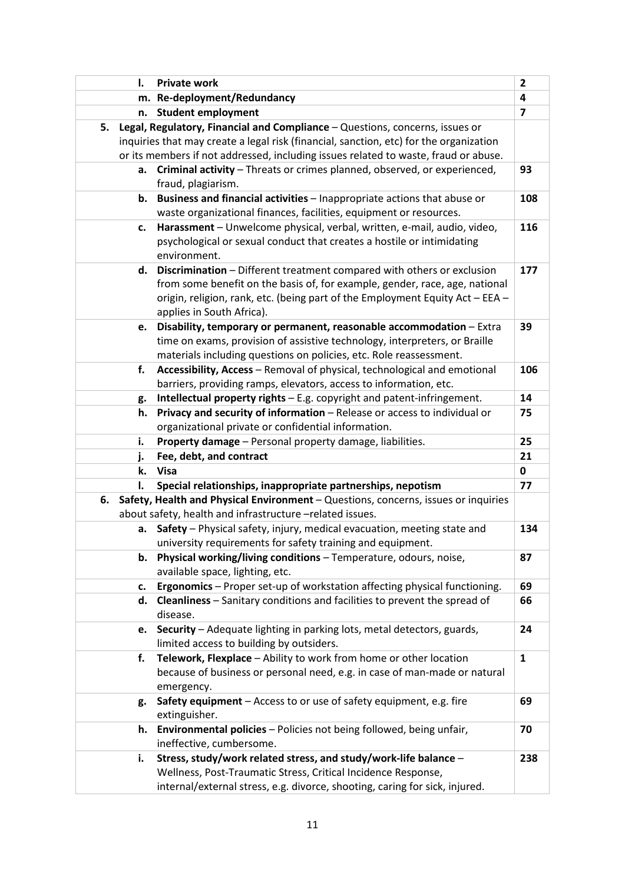| Ι. | <b>Private work</b>                                                                                                                           | $\overline{\mathbf{c}}$ |  |
|----|-----------------------------------------------------------------------------------------------------------------------------------------------|-------------------------|--|
|    | Re-deployment/Redundancy<br>m.                                                                                                                |                         |  |
| n. | <b>Student employment</b>                                                                                                                     | $\overline{7}$          |  |
| 5. | Legal, Regulatory, Financial and Compliance - Questions, concerns, issues or                                                                  |                         |  |
|    | inquiries that may create a legal risk (financial, sanction, etc) for the organization                                                        |                         |  |
|    | or its members if not addressed, including issues related to waste, fraud or abuse.                                                           |                         |  |
| а. | Criminal activity - Threats or crimes planned, observed, or experienced,                                                                      | 93                      |  |
|    | fraud, plagiarism.                                                                                                                            |                         |  |
| b. | Business and financial activities - Inappropriate actions that abuse or<br>waste organizational finances, facilities, equipment or resources. | 108                     |  |
| c. | Harassment - Unwelcome physical, verbal, written, e-mail, audio, video,                                                                       | 116                     |  |
|    | psychological or sexual conduct that creates a hostile or intimidating                                                                        |                         |  |
|    | environment.                                                                                                                                  |                         |  |
| d. | Discrimination - Different treatment compared with others or exclusion                                                                        | 177                     |  |
|    | from some benefit on the basis of, for example, gender, race, age, national                                                                   |                         |  |
|    | origin, religion, rank, etc. (being part of the Employment Equity Act - EEA -                                                                 |                         |  |
|    | applies in South Africa).                                                                                                                     |                         |  |
| e. | Disability, temporary or permanent, reasonable accommodation - Extra                                                                          | 39                      |  |
|    | time on exams, provision of assistive technology, interpreters, or Braille                                                                    |                         |  |
|    | materials including questions on policies, etc. Role reassessment.                                                                            |                         |  |
| f. | Accessibility, Access - Removal of physical, technological and emotional                                                                      | 106                     |  |
|    | barriers, providing ramps, elevators, access to information, etc.                                                                             |                         |  |
| g. | Intellectual property rights - E.g. copyright and patent-infringement.                                                                        | 14                      |  |
| h. | Privacy and security of information - Release or access to individual or                                                                      | 75                      |  |
|    | organizational private or confidential information.                                                                                           |                         |  |
| i. | Property damage - Personal property damage, liabilities.                                                                                      | 25                      |  |
| j. | Fee, debt, and contract                                                                                                                       | 21                      |  |
| k. | <b>Visa</b>                                                                                                                                   | $\mathbf 0$             |  |
| I. | Special relationships, inappropriate partnerships, nepotism                                                                                   | 77                      |  |
| 6. | Safety, Health and Physical Environment - Questions, concerns, issues or inquiries                                                            |                         |  |
|    | about safety, health and infrastructure -related issues.                                                                                      |                         |  |
| а. | Safety - Physical safety, injury, medical evacuation, meeting state and                                                                       | 134                     |  |
|    | university requirements for safety training and equipment.<br>Physical working/living conditions - Temperature, odours, noise,                | 87                      |  |
| b. | available space, lighting, etc.                                                                                                               |                         |  |
|    | Ergonomics - Proper set-up of workstation affecting physical functioning.                                                                     | 69                      |  |
| c. | Cleanliness - Sanitary conditions and facilities to prevent the spread of                                                                     |                         |  |
| d. | disease.                                                                                                                                      | 66                      |  |
| e. | Security - Adequate lighting in parking lots, metal detectors, guards,                                                                        | 24                      |  |
|    | limited access to building by outsiders.                                                                                                      |                         |  |
| f. | Telework, Flexplace - Ability to work from home or other location                                                                             | $\mathbf{1}$            |  |
|    | because of business or personal need, e.g. in case of man-made or natural                                                                     |                         |  |
|    | emergency.                                                                                                                                    |                         |  |
| g. | Safety equipment - Access to or use of safety equipment, e.g. fire                                                                            | 69                      |  |
|    | extinguisher.                                                                                                                                 |                         |  |
| h. | <b>Environmental policies</b> - Policies not being followed, being unfair,<br>ineffective, cumbersome.                                        | 70                      |  |
| i. | Stress, study/work related stress, and study/work-life balance -                                                                              | 238                     |  |
|    | Wellness, Post-Traumatic Stress, Critical Incidence Response,                                                                                 |                         |  |
|    | internal/external stress, e.g. divorce, shooting, caring for sick, injured.                                                                   |                         |  |
|    |                                                                                                                                               |                         |  |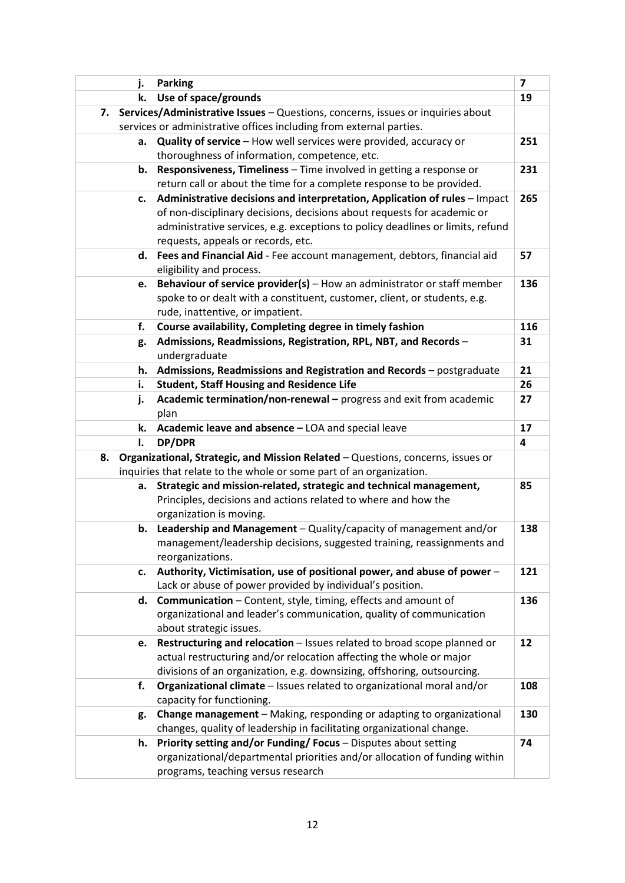| j. | <b>Parking</b>                                                                                                                                    | $\overline{\mathbf{z}}$ |
|----|---------------------------------------------------------------------------------------------------------------------------------------------------|-------------------------|
| k. | Use of space/grounds                                                                                                                              | 19                      |
| 7. | Services/Administrative Issues - Questions, concerns, issues or inquiries about                                                                   |                         |
|    | services or administrative offices including from external parties.                                                                               |                         |
| a. | Quality of service - How well services were provided, accuracy or                                                                                 | 251                     |
|    | thoroughness of information, competence, etc.                                                                                                     |                         |
| b. | Responsiveness, Timeliness - Time involved in getting a response or                                                                               | 231                     |
|    | return call or about the time for a complete response to be provided.                                                                             |                         |
| c. | Administrative decisions and interpretation, Application of rules - Impact                                                                        | 265                     |
|    | of non-disciplinary decisions, decisions about requests for academic or                                                                           |                         |
|    | administrative services, e.g. exceptions to policy deadlines or limits, refund                                                                    |                         |
|    | requests, appeals or records, etc.                                                                                                                | 57                      |
|    | d. Fees and Financial Aid - Fee account management, debtors, financial aid<br>eligibility and process.                                            |                         |
| е. | Behaviour of service provider(s) - How an administrator or staff member                                                                           | 136                     |
|    | spoke to or dealt with a constituent, customer, client, or students, e.g.                                                                         |                         |
|    | rude, inattentive, or impatient.                                                                                                                  |                         |
| f. | Course availability, Completing degree in timely fashion                                                                                          | 116                     |
| g. | Admissions, Readmissions, Registration, RPL, NBT, and Records -                                                                                   | 31                      |
|    | undergraduate                                                                                                                                     |                         |
| h. | Admissions, Readmissions and Registration and Records - postgraduate                                                                              | 21                      |
| i. | <b>Student, Staff Housing and Residence Life</b>                                                                                                  | 26                      |
| j. | Academic termination/non-renewal - progress and exit from academic                                                                                | 27                      |
|    | plan                                                                                                                                              |                         |
| k. | Academic leave and absence - LOA and special leave                                                                                                | 17                      |
| I. | DP/DPR                                                                                                                                            | 4                       |
| 8. | Organizational, Strategic, and Mission Related - Questions, concerns, issues or                                                                   |                         |
|    | inquiries that relate to the whole or some part of an organization.                                                                               |                         |
| а. | Strategic and mission-related, strategic and technical management,                                                                                |                         |
|    |                                                                                                                                                   | 85                      |
|    | Principles, decisions and actions related to where and how the                                                                                    |                         |
|    | organization is moving.                                                                                                                           |                         |
| b. | Leadership and Management - Quality/capacity of management and/or                                                                                 | 138                     |
|    | management/leadership decisions, suggested training, reassignments and                                                                            |                         |
|    | reorganizations.                                                                                                                                  |                         |
| c. | Authority, Victimisation, use of positional power, and abuse of power -                                                                           | 121                     |
|    | Lack or abuse of power provided by individual's position.                                                                                         |                         |
| d. | <b>Communication</b> – Content, style, timing, effects and amount of                                                                              | 136                     |
|    | organizational and leader's communication, quality of communication                                                                               |                         |
|    | about strategic issues.                                                                                                                           |                         |
| e. | Restructuring and relocation - Issues related to broad scope planned or                                                                           | 12                      |
|    | actual restructuring and/or relocation affecting the whole or major                                                                               |                         |
| f. | divisions of an organization, e.g. downsizing, offshoring, outsourcing.<br>Organizational climate - Issues related to organizational moral and/or | 108                     |
|    | capacity for functioning.                                                                                                                         |                         |
| g. | Change management - Making, responding or adapting to organizational                                                                              | 130                     |
|    | changes, quality of leadership in facilitating organizational change.                                                                             |                         |
| h. | Priority setting and/or Funding/ Focus - Disputes about setting                                                                                   | 74                      |
|    | organizational/departmental priorities and/or allocation of funding within<br>programs, teaching versus research                                  |                         |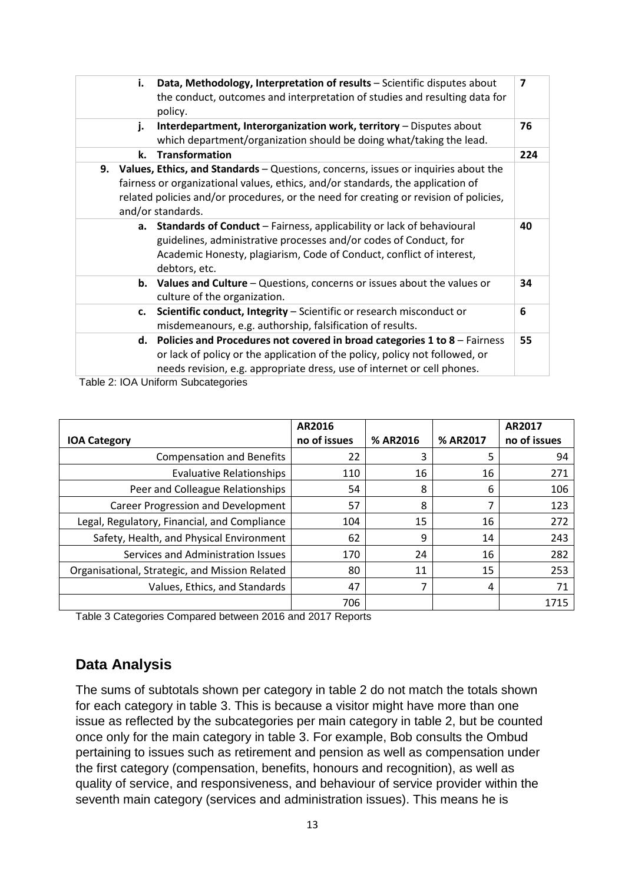| i. | Data, Methodology, Interpretation of results - Scientific disputes about<br>the conduct, outcomes and interpretation of studies and resulting data for<br>policy.                                                                                                                      |     |
|----|----------------------------------------------------------------------------------------------------------------------------------------------------------------------------------------------------------------------------------------------------------------------------------------|-----|
| j. | Interdepartment, Interorganization work, territory - Disputes about<br>which department/organization should be doing what/taking the lead.                                                                                                                                             | 76  |
| k. | <b>Transformation</b>                                                                                                                                                                                                                                                                  | 224 |
|    | 9. Values, Ethics, and Standards - Questions, concerns, issues or inquiries about the<br>fairness or organizational values, ethics, and/or standards, the application of<br>related policies and/or procedures, or the need for creating or revision of policies,<br>and/or standards. |     |
| а. | Standards of Conduct - Fairness, applicability or lack of behavioural<br>guidelines, administrative processes and/or codes of Conduct, for<br>Academic Honesty, plagiarism, Code of Conduct, conflict of interest,<br>debtors, etc.                                                    | 40  |
|    | <b>b.</b> Values and Culture – Questions, concerns or issues about the values or<br>culture of the organization.                                                                                                                                                                       | 34  |
| c. | Scientific conduct, Integrity - Scientific or research misconduct or<br>misdemeanours, e.g. authorship, falsification of results.                                                                                                                                                      | 6   |
|    | d. Policies and Procedures not covered in broad categories $1$ to $8$ – Fairness<br>or lack of policy or the application of the policy, policy not followed, or<br>needs revision, e.g. appropriate dress, use of internet or cell phones.                                             | 55  |

Table 2: IOA Uniform Subcategories

|                                                | AR2016       |          |          | AR2017       |
|------------------------------------------------|--------------|----------|----------|--------------|
| <b>IOA Category</b>                            | no of issues | % AR2016 | % AR2017 | no of issues |
| <b>Compensation and Benefits</b>               | 22           | 3        | 5        | 94           |
| <b>Evaluative Relationships</b>                | 110          | 16       | 16       | 271          |
| Peer and Colleague Relationships               | 54           | 8        | 6        | 106          |
| <b>Career Progression and Development</b>      | 57           | 8        | 7        | 123          |
| Legal, Regulatory, Financial, and Compliance   | 104          | 15       | 16       | 272          |
| Safety, Health, and Physical Environment       | 62           | 9        | 14       | 243          |
| Services and Administration Issues             | 170          | 24       | 16       | 282          |
| Organisational, Strategic, and Mission Related | 80           | 11       | 15       | 253          |
| Values, Ethics, and Standards                  | 47           |          | 4        | 71           |
|                                                | 706          |          |          | 1715         |

Table 3 Categories Compared between 2016 and 2017 Reports

## **Data Analysis**

The sums of subtotals shown per category in table 2 do not match the totals shown for each category in table 3. This is because a visitor might have more than one issue as reflected by the subcategories per main category in table 2, but be counted once only for the main category in table 3. For example, Bob consults the Ombud pertaining to issues such as retirement and pension as well as compensation under the first category (compensation, benefits, honours and recognition), as well as quality of service, and responsiveness, and behaviour of service provider within the seventh main category (services and administration issues). This means he is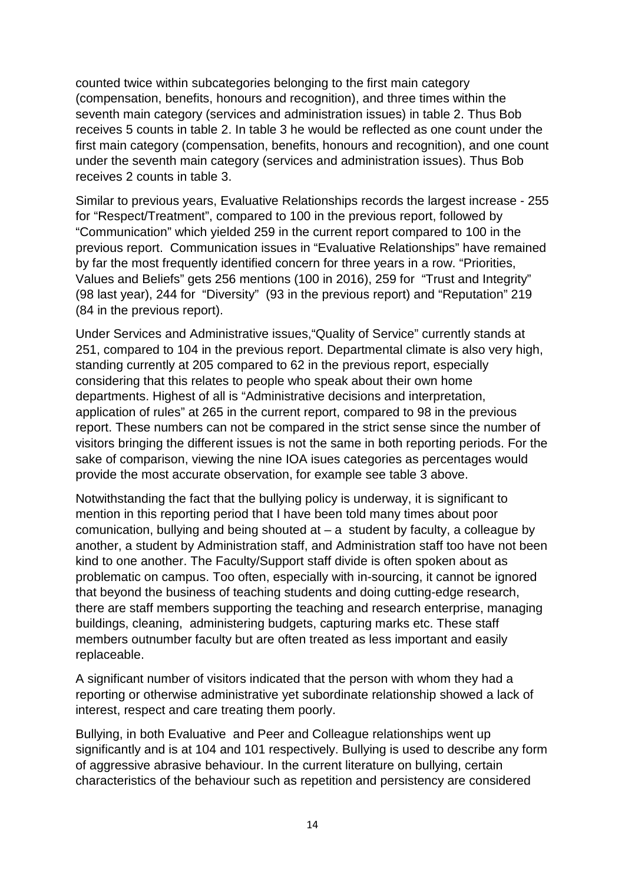counted twice within subcategories belonging to the first main category (compensation, benefits, honours and recognition), and three times within the seventh main category (services and administration issues) in table 2. Thus Bob receives 5 counts in table 2. In table 3 he would be reflected as one count under the first main category (compensation, benefits, honours and recognition), and one count under the seventh main category (services and administration issues). Thus Bob receives 2 counts in table 3.

Similar to previous years, Evaluative Relationships records the largest increase - 255 for "Respect/Treatment", compared to 100 in the previous report, followed by "Communication" which yielded 259 in the current report compared to 100 in the previous report. Communication issues in "Evaluative Relationships" have remained by far the most frequently identified concern for three years in a row. "Priorities, Values and Beliefs" gets 256 mentions (100 in 2016), 259 for "Trust and Integrity" (98 last year), 244 for "Diversity" (93 in the previous report) and "Reputation" 219 (84 in the previous report).

Under Services and Administrative issues,"Quality of Service" currently stands at 251, compared to 104 in the previous report. Departmental climate is also very high, standing currently at 205 compared to 62 in the previous report, especially considering that this relates to people who speak about their own home departments. Highest of all is "Administrative decisions and interpretation, application of rules" at 265 in the current report, compared to 98 in the previous report. These numbers can not be compared in the strict sense since the number of visitors bringing the different issues is not the same in both reporting periods. For the sake of comparison, viewing the nine IOA isues categories as percentages would provide the most accurate observation, for example see table 3 above.

Notwithstanding the fact that the bullying policy is underway, it is significant to mention in this reporting period that I have been told many times about poor comunication, bullying and being shouted at  $-$  a student by faculty, a colleague by another, a student by Administration staff, and Administration staff too have not been kind to one another. The Faculty/Support staff divide is often spoken about as problematic on campus. Too often, especially with in-sourcing, it cannot be ignored that beyond the business of teaching students and doing cutting-edge research, there are staff members supporting the teaching and research enterprise, managing buildings, cleaning, administering budgets, capturing marks etc. These staff members outnumber faculty but are often treated as less important and easily replaceable.

A significant number of visitors indicated that the person with whom they had a reporting or otherwise administrative yet subordinate relationship showed a lack of interest, respect and care treating them poorly.

Bullying, in both Evaluative and Peer and Colleague relationships went up significantly and is at 104 and 101 respectively. Bullying is used to describe any form of aggressive abrasive behaviour. In the current literature on bullying, certain characteristics of the behaviour such as repetition and persistency are considered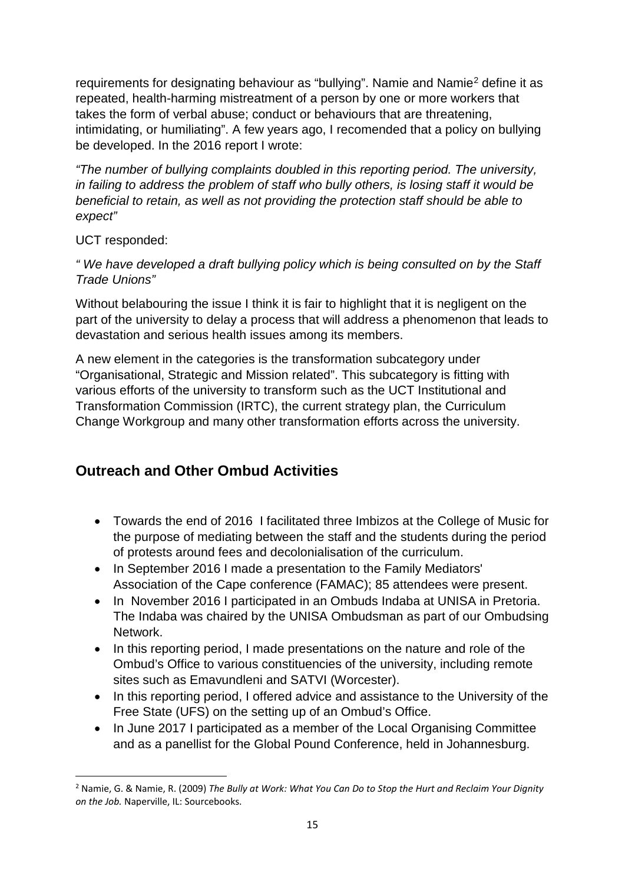requirements for designating behaviour as "bullying". Namie and Nami[e2](#page-14-0) define it as repeated, health-harming mistreatment of a person by one or more workers that takes the form of verbal abuse; conduct or behaviours that are threatening, intimidating, or humiliating". A few years ago, I recomended that a policy on bullying be developed. In the 2016 report I wrote:

*"The number of bullying complaints doubled in this reporting period. The university, in failing to address the problem of staff who bully others, is losing staff it would be beneficial to retain, as well as not providing the protection staff should be able to expect"* 

UCT responded:

*" We have developed a draft bullying policy which is being consulted on by the Staff Trade Unions"*

Without belabouring the issue I think it is fair to highlight that it is negligent on the part of the university to delay a process that will address a phenomenon that leads to devastation and serious health issues among its members.

A new element in the categories is the transformation subcategory under "Organisational, Strategic and Mission related". This subcategory is fitting with various efforts of the university to transform such as the UCT Institutional and Transformation Commission (IRTC), the current strategy plan, the Curriculum Change Workgroup and many other transformation efforts across the university.

# **Outreach and Other Ombud Activities**

- Towards the end of 2016 I facilitated three Imbizos at the College of Music for the purpose of mediating between the staff and the students during the period of protests around fees and decolonialisation of the curriculum.
- In September 2016 I made a presentation to the Family Mediators' Association of the Cape conference (FAMAC); 85 attendees were present.
- In November 2016 I participated in an Ombuds Indaba at UNISA in Pretoria. The Indaba was chaired by the UNISA Ombudsman as part of our Ombudsing Network.
- In this reporting period, I made presentations on the nature and role of the Ombud's Office to various constituencies of the university, including remote sites such as Emavundleni and SATVI (Worcester).
- In this reporting period, I offered advice and assistance to the University of the Free State (UFS) on the setting up of an Ombud's Office.
- In June 2017 I participated as a member of the Local Organising Committee and as a panellist for the Global Pound Conference, held in Johannesburg.

<span id="page-14-0"></span> <sup>2</sup> Namie, G. & Namie, R. (2009) *The Bully at Work: What You Can Do to Stop the Hurt and Reclaim Your Dignity on the Job.* Naperville, IL: Sourcebooks.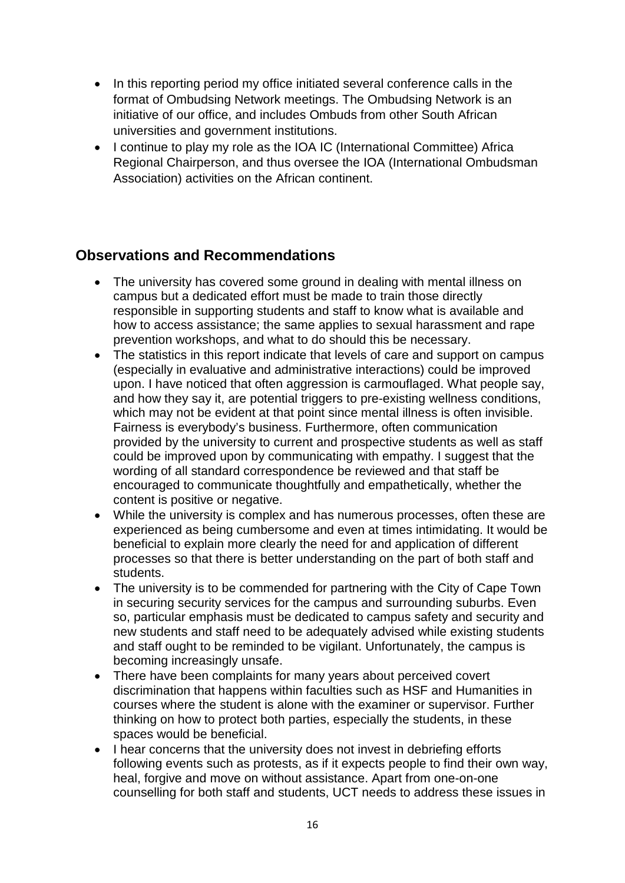- In this reporting period my office initiated several conference calls in the format of Ombudsing Network meetings. The Ombudsing Network is an initiative of our office, and includes Ombuds from other South African universities and government institutions.
- I continue to play my role as the IOA IC (International Committee) Africa Regional Chairperson, and thus oversee the IOA (International Ombudsman Association) activities on the African continent.

## **Observations and Recommendations**

- The university has covered some ground in dealing with mental illness on campus but a dedicated effort must be made to train those directly responsible in supporting students and staff to know what is available and how to access assistance; the same applies to sexual harassment and rape prevention workshops, and what to do should this be necessary.
- The statistics in this report indicate that levels of care and support on campus (especially in evaluative and administrative interactions) could be improved upon. I have noticed that often aggression is carmouflaged. What people say, and how they say it, are potential triggers to pre-existing wellness conditions, which may not be evident at that point since mental illness is often invisible. Fairness is everybody's business. Furthermore, often communication provided by the university to current and prospective students as well as staff could be improved upon by communicating with empathy. I suggest that the wording of all standard correspondence be reviewed and that staff be encouraged to communicate thoughtfully and empathetically, whether the content is positive or negative.
- While the university is complex and has numerous processes, often these are experienced as being cumbersome and even at times intimidating. It would be beneficial to explain more clearly the need for and application of different processes so that there is better understanding on the part of both staff and students.
- The university is to be commended for partnering with the City of Cape Town in securing security services for the campus and surrounding suburbs. Even so, particular emphasis must be dedicated to campus safety and security and new students and staff need to be adequately advised while existing students and staff ought to be reminded to be vigilant. Unfortunately, the campus is becoming increasingly unsafe.
- There have been complaints for many years about perceived covert discrimination that happens within faculties such as HSF and Humanities in courses where the student is alone with the examiner or supervisor. Further thinking on how to protect both parties, especially the students, in these spaces would be beneficial.
- I hear concerns that the university does not invest in debriefing efforts following events such as protests, as if it expects people to find their own way, heal, forgive and move on without assistance. Apart from one-on-one counselling for both staff and students, UCT needs to address these issues in